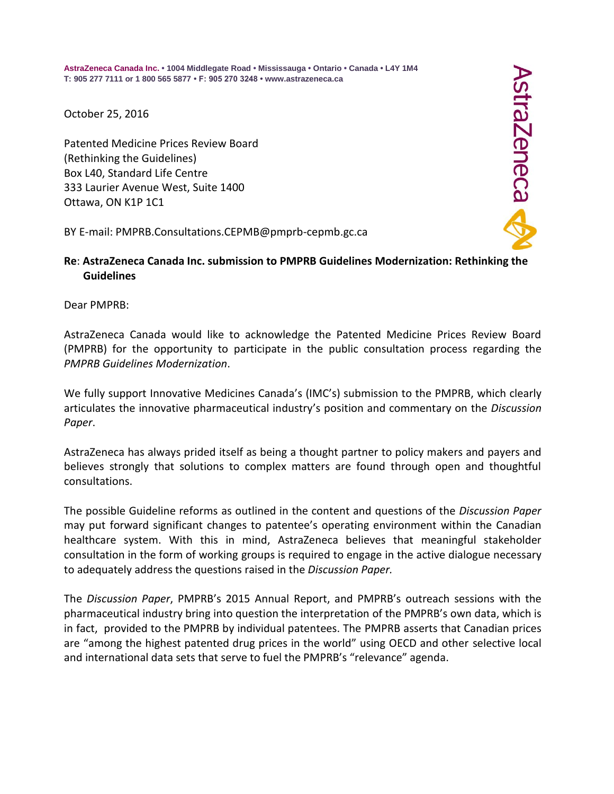**AstraZeneca Canada Inc. • 1004 Middlegate Road • Mississauga • Ontario • Canada • L4Y 1M4 T: 905 277 7111 or 1 800 565 5877 • F: 905 270 3248 • www.astrazeneca.ca**

October 25, 2016

Patented Medicine Prices Review Board (Rethinking the Guidelines) Box L40, Standard Life Centre 333 Laurier Avenue West, Suite 1400 Ottawa, ON K1P 1C1

BY E-mail: PMPRB.Consultations.CEPMB@pmprb-cepmb.gc.ca

## **Re**: **AstraZeneca Canada Inc. submission to PMPRB Guidelines Modernization: Rethinking the Guidelines**

Dear PMPRB:

AstraZeneca Canada would like to acknowledge the Patented Medicine Prices Review Board (PMPRB) for the opportunity to participate in the public consultation process regarding the *PMPRB Guidelines Modernization*.

We fully support Innovative Medicines Canada's (IMC's) submission to the PMPRB, which clearly articulates the innovative pharmaceutical industry's position and commentary on the *Discussion Paper*.

AstraZeneca has always prided itself as being a thought partner to policy makers and payers and believes strongly that solutions to complex matters are found through open and thoughtful consultations.

The possible Guideline reforms as outlined in the content and questions of the *Discussion Paper* may put forward significant changes to patentee's operating environment within the Canadian healthcare system. With this in mind, AstraZeneca believes that meaningful stakeholder consultation in the form of working groups is required to engage in the active dialogue necessary to adequately address the questions raised in the *Discussion Paper.* 

The *Discussion Paper*, PMPRB's 2015 Annual Report, and PMPRB's outreach sessions with the pharmaceutical industry bring into question the interpretation of the PMPRB's own data, which is in fact, provided to the PMPRB by individual patentees. The PMPRB asserts that Canadian prices are "among the highest patented drug prices in the world" using OECD and other selective local and international data sets that serve to fuel the PMPRB's "relevance" agenda.

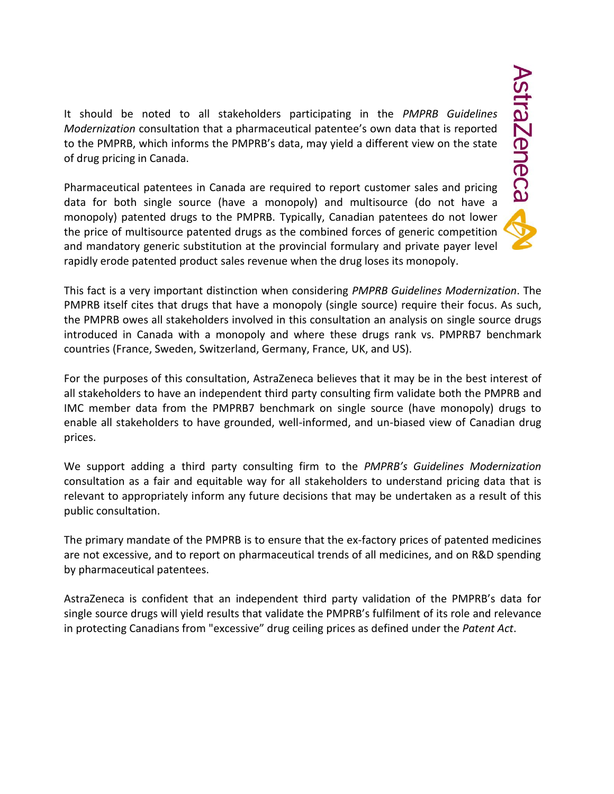It should be noted to all stakeholders participating in the *PMPRB Guidelines Modernization* consultation that a pharmaceutical patentee's own data that is reported to the PMPRB, which informs the PMPRB's data, may yield a different view on the state of drug pricing in Canada.

Pharmaceutical patentees in Canada are required to report customer sales and pricing data for both single source (have a monopoly) and multisource (do not have a monopoly) patented drugs to the PMPRB. Typically, Canadian patentees do not lower the price of multisource patented drugs as the combined forces of generic competition and mandatory generic substitution at the provincial formulary and private payer level rapidly erode patented product sales revenue when the drug loses its monopoly.

This fact is a very important distinction when considering *PMPRB Guidelines Modernization*. The PMPRB itself cites that drugs that have a monopoly (single source) require their focus. As such, the PMPRB owes all stakeholders involved in this consultation an analysis on single source drugs introduced in Canada with a monopoly and where these drugs rank vs. PMPRB7 benchmark countries (France, Sweden, Switzerland, Germany, France, UK, and US).

For the purposes of this consultation, AstraZeneca believes that it may be in the best interest of all stakeholders to have an independent third party consulting firm validate both the PMPRB and IMC member data from the PMPRB7 benchmark on single source (have monopoly) drugs to enable all stakeholders to have grounded, well-informed, and un-biased view of Canadian drug prices.

We support adding a third party consulting firm to the *PMPRB's Guidelines Modernization* consultation as a fair and equitable way for all stakeholders to understand pricing data that is relevant to appropriately inform any future decisions that may be undertaken as a result of this public consultation.

The primary mandate of the PMPRB is to ensure that the ex-factory prices of patented medicines are not excessive, and to report on pharmaceutical trends of all medicines, and on R&D spending by pharmaceutical patentees.

AstraZeneca is confident that an independent third party validation of the PMPRB's data for single source drugs will yield results that validate the PMPRB's fulfilment of its role and relevance in protecting Canadians from "excessive" drug ceiling prices as defined under the *Patent Act*.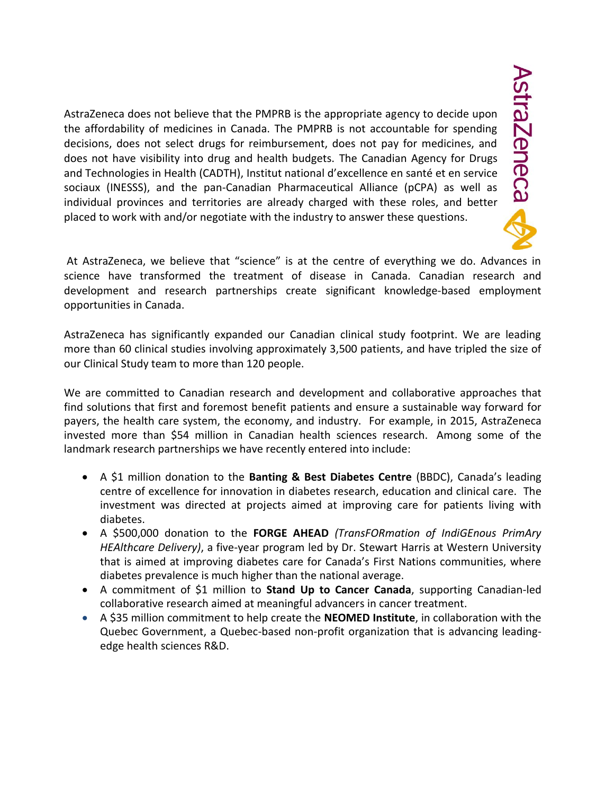AstraZeneca does not believe that the PMPRB is the appropriate agency to decide upon the affordability of medicines in Canada. The PMPRB is not accountable for spending decisions, does not select drugs for reimbursement, does not pay for medicines, and does not have visibility into drug and health budgets. The Canadian Agency for Drugs and Technologies in Health (CADTH), Institut national d'excellence en santé et en service sociaux (INESSS), and the pan-Canadian Pharmaceutical Alliance (pCPA) as well as individual provinces and territories are already charged with these roles, and better placed to work with and/or negotiate with the industry to answer these questions.

At AstraZeneca, we believe that "science" is at the centre of everything we do. Advances in science have transformed the treatment of disease in Canada. Canadian research and development and research partnerships create significant knowledge-based employment opportunities in Canada.

AstraZeneca has significantly expanded our Canadian clinical study footprint. We are leading more than 60 clinical studies involving approximately 3,500 patients, and have tripled the size of our Clinical Study team to more than 120 people.

We are committed to Canadian research and development and collaborative approaches that find solutions that first and foremost benefit patients and ensure a sustainable way forward for payers, the health care system, the economy, and industry. For example, in 2015, AstraZeneca invested more than \$54 million in Canadian health sciences research. Among some of the landmark research partnerships we have recently entered into include:

- A \$1 million donation to the **Banting & Best Diabetes Centre** (BBDC), Canada's leading centre of excellence for innovation in diabetes research, education and clinical care. The investment was directed at projects aimed at improving care for patients living with diabetes.
- A \$500,000 donation to the **FORGE AHEAD** *(TransFORmation of IndiGEnous PrimAry HEAlthcare Delivery)*, a five-year program led by Dr. Stewart Harris at Western University that is aimed at improving diabetes care for Canada's First Nations communities, where diabetes prevalence is much higher than the national average.
- A commitment of \$1 million to **Stand Up to Cancer Canada**, supporting Canadian-led collaborative research aimed at meaningful advancers in cancer treatment.
- A \$35 million commitment to help create the **NEOMED Institute**, in collaboration with the Quebec Government, a Quebec-based non-profit organization that is advancing leadingedge health sciences R&D.